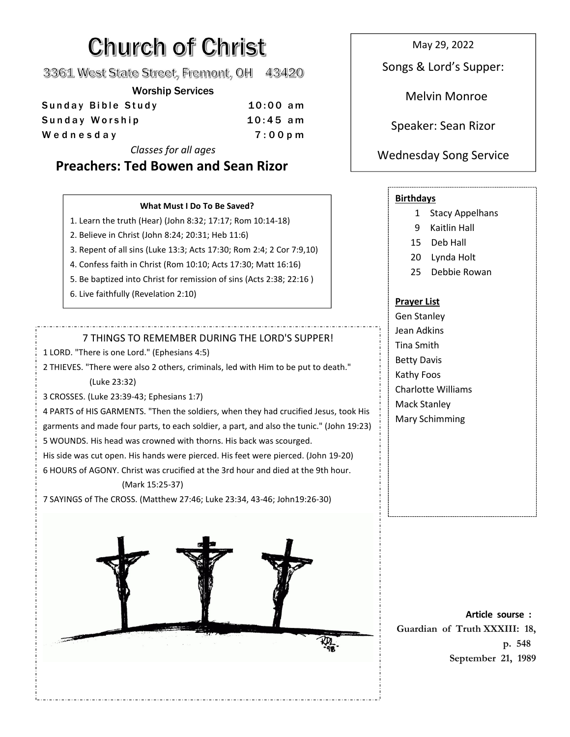# **Church of Christ**

3361 West State Street, Fremont, OH 43420

Worship Services

| Sunday Bible Study | $10:00$ am |                     |
|--------------------|------------|---------------------|
| Sunday Worship     | $10:45$ am | Speaker: Sean Rizor |
| Wednesday          | $7:00$ p m |                     |
|                    |            |                     |

*Classes for all ages*

## **Preachers: Ted Bowen and Sean Rizor**

#### **What Must I Do To Be Saved?**

- 1. Learn the truth (Hear) (John 8:32; 17:17; Rom 10:14-18)
- 2. Believe in Christ (John 8:24; 20:31; Heb 11:6)
- 3. Repent of all sins (Luke 13:3; Acts 17:30; Rom 2:4; 2 Cor 7:9,10)
- 4. Confess faith in Christ(Rom 10:10; Acts 17:30; Matt 16:16)
- 5. Be baptized into Christ for remission of sins (Acts 2:38; 22:16 )
- 6. Live faithfully (Revelation 2:10)

#### 7 THINGS TO REMEMBER DURING THE LORD'S SUPPER!

1 LORD. "There is one Lord." (Ephesians 4:5)

2 THIEVES. "There were also 2 others, criminals, led with Him to be put to death." (Luke 23:32)

3 CROSSES. (Luke 23:39-43; Ephesians 1:7)

4 PARTS of HIS GARMENTS. "Then the soldiers,when they had crucified Jesus, took His garments and made four parts, to each soldier, a part, and also the tunic." (John 19:23) 5 WOUNDS. His head was crowned with thorns. His back was scourged.

His side was cut open. His hands were pierced. His feet were pierced. (John 19-20)

6 HOURS of AGONY. Christ was crucified at the 3rd hour and died at the 9th hour.

#### (Mark 15:25-37)

7 SAYINGS of The CROSS. (Matthew 27:46; Luke 23:34, 43-46; John19:26-30)



May 29, 2022

Songs & Lord's Supper:

Melvin Monroe

### Wednesday Song Service

#### **Birthdays**

- 1 Stacy Appelhans
- 9 Kaitlin Hall
- 15 Deb Hall
- 20 Lynda Holt
- 25 Debbie Rowan

#### **Prayer List**

Gen Stanley Jean Adkins Tina Smith Betty Davis Kathy Foos Charlotte Williams Mack Stanley Mary Schimming

**Article sourse : Guardian of Truth XXXIII: 18, p. 548 September 21,1989**